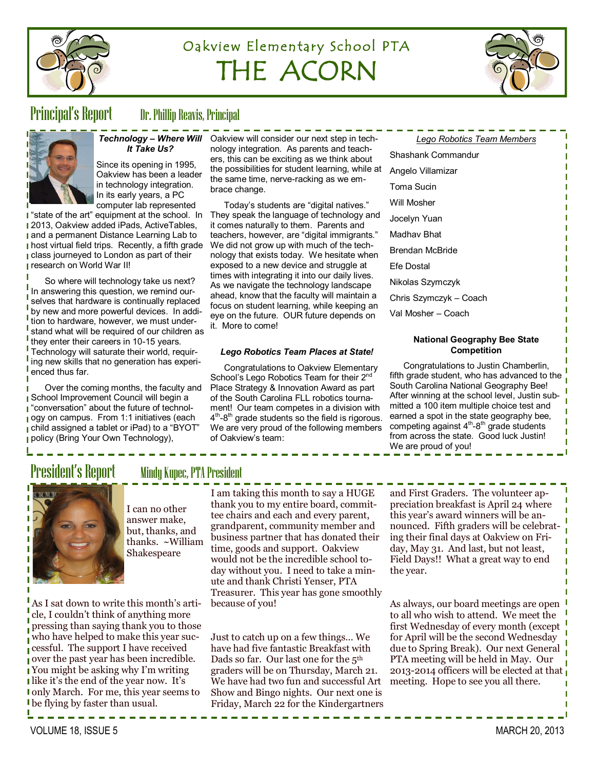

# Oakview Elementary School PTA THE ACORN



## Principal's Report Dr. Phillip Reavis, Principal



# *It Take Us?*

Since its opening in 1995, Oakview has been a leader in technology integration. In its early years, a PC computer lab represented

**I** "state of the art" equipment at the school. In **12013, Oakview added iPads, ActiveTables, and a permanent Distance Learning Lab to I** host virtual field trips. Recently, a fifth grade **class journeyed to London as part of their research on World War II!** 

So where will technology take us next? In answering this question, we remind ourselves that hardware is continually replaced by new and more powerful devices. In addition to hardware, however, we must understand what will be required of our children as they enter their careers in 10-15 years. Technology will saturate their world, requiring new skills that no generation has experienced thus far.

Over the coming months, the faculty and **School Improvement Council will begin a** "conversation" about the future of technology on campus. From 1:1 initiatives (each child assigned a tablet or iPad) to a "BYOT" policy (Bring Your Own Technology),

As I sat down to write this month's article, I couldn't think of anything more

cessful. The support I have received over the past year has been incredible. You might be asking why I'm writing I like it's the end of the year now. It's

*Technology – Where Will*  Oakview will consider our next step in technology integration. As parents and teachers, this can be exciting as we think about the possibilities for student learning, while at the same time, nerve-racking as we embrace change.

> Today's students are "digital natives." They speak the language of technology and it comes naturally to them. Parents and teachers, however, are "digital immigrants." We did not grow up with much of the technology that exists today. We hesitate when exposed to a new device and struggle at times with integrating it into our daily lives. As we navigate the technology landscape ahead, know that the faculty will maintain a focus on student learning, while keeping an eye on the future. OUR future depends on it. More to come!

### *Lego Robotics Team Places at State!*

Congratulations to Oakview Elementary School's Lego Robotics Team for their 2<sup>nd</sup> Place Strategy & Innovation Award as part of the South Carolina FLL robotics tournament! Our team competes in a division with 4<sup>th</sup>-8<sup>th</sup> grade students so the field is rigorous. We are very proud of the following members of Oakview's team:

| Lego Robotics really Members |
|------------------------------|
| Shashank Commandur           |
| Angelo Villamizar            |
| Toma Sucin                   |
| Will Mosher                  |
| Jocelyn Yuan                 |
| Madhav Bhat                  |
| Brendan McBride              |
| Efe Dostal                   |
| Nikolas Szymczyk             |
| Chris Szymczyk – Coach       |
| Val Mosher – Coach           |
|                              |

*Lego Robotics Team Members*

### **National Geography Bee State Competition**

Congratulations to Justin Chamberlin, fifth grade student, who has advanced to the South Carolina National Geography Bee! After winning at the school level, Justin submitted a 100 item multiple choice test and earned a spot in the state geography bee, competing against 4<sup>th</sup>-8<sup>th</sup> grade students from across the state. Good luck Justin! We are proud of you!



## President's Report Mindy Kupec, PTA President

I can no other answer make, but, thanks, and thanks. ~William Shakespeare

I am taking this month to say a HUGE thank you to my entire board, committee chairs and each and every parent, grandparent, community member and business partner that has donated their time, goods and support. Oakview would not be the incredible school today without you. I need to take a minute and thank Christi Yenser, PTA Treasurer. This year has gone smoothly because of you!

pressing than saying thank you to those who have helped to make this year suconly March. For me, this year seems to Just to catch up on a few things… We have had five fantastic Breakfast with Dads so far. Our last one for the 5th graders will be on Thursday, March 21. We have had two fun and successful Art Show and Bingo nights. Our next one is Friday, March 22 for the Kindergartners

and First Graders. The volunteer appreciation breakfast is April 24 where this year's award winners will be announced. Fifth graders will be celebrating their final days at Oakview on Friday, May 31. And last, but not least, Field Days!! What a great way to end the year.

As always, our board meetings are open to all who wish to attend. We meet the first Wednesday of every month (except for April will be the second Wednesday due to Spring Break). Our next General PTA meeting will be held in May. Our 2013-2014 officers will be elected at that meeting. Hope to see you all there.

be flying by faster than usual.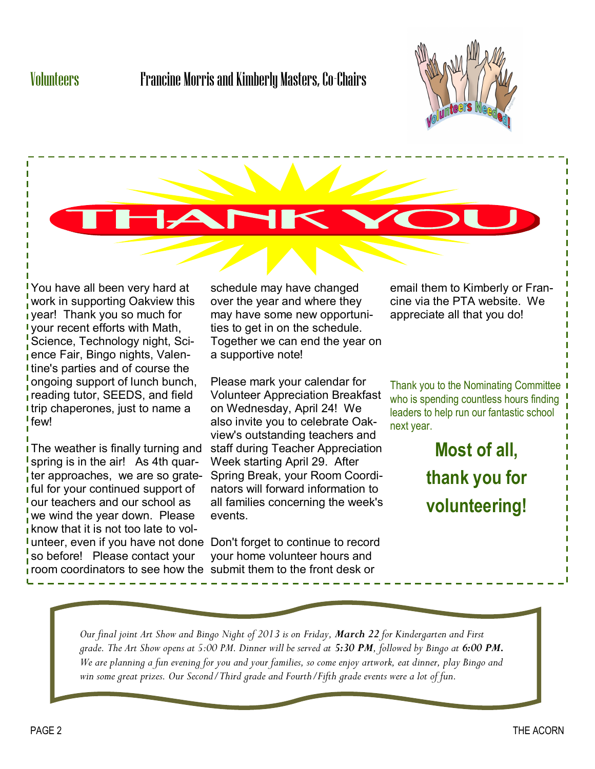# Volunteers Francine Morris and Kimberly Masters, Co-Chairs





You have all been very hard at work in supporting Oakview this year! Thank you so much for your recent efforts with Math, Science, Technology night, Science Fair, Bingo nights, Valentine's parties and of course the ongoing support of lunch bunch, reading tutor, SEEDS, and field trip chaperones, just to name a few!

The weather is finally turning and spring is in the air! As 4th quarter approaches, we are so grateful for your continued support of our teachers and our school as we wind the year down. Please know that it is not too late to volunteer, even if you have not done Don't forget to continue to record so before! Please contact your room coordinators to see how the submit them to the front desk or

schedule may have changed over the year and where they may have some new opportunities to get in on the schedule. Together we can end the year on a supportive note!

Please mark your calendar for Volunteer Appreciation Breakfast on Wednesday, April 24! We also invite you to celebrate Oakview's outstanding teachers and staff during Teacher Appreciation Week starting April 29. After Spring Break, your Room Coordinators will forward information to all families concerning the week's events.

your home volunteer hours and

email them to Kimberly or Francine via the PTA website. We appreciate all that you do!

Thank you to the Nominating Committee 1 who is spending countless hours finding leaders to help run our fantastic school next year.

> **Most of all, thank you for volunteering!**

*Our final joint Art Show and Bingo Night of 2013 is on Friday, March 22 for Kindergarten and First grade. The Art Show opens at 5:00 PM. Dinner will be served at 5:30 PM, followed by Bingo at 6:00 PM. We are planning a fun evening for you and your families, so come enjoy artwork, eat dinner, play Bingo and win some great prizes. Our Second/Third grade and Fourth/Fifth grade events were a lot of fun.*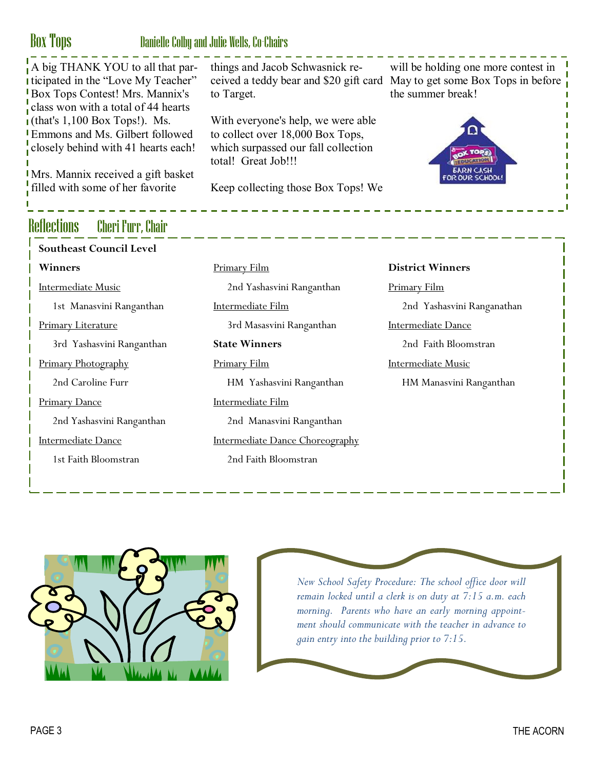# Box Tops Danielle Colby and Julie Wells, Co-Chairs

| A big THANK YOU to all that par-<br>I ticipated in the "Love My Teacher"<br>Box Tops Contest! Mrs. Mannix's<br>class won with a total of 44 hearts | things and Jacob Schwasnick re-<br>to Target.                                                                                        | will be holding one more contest in<br>ceived a teddy bear and \$20 gift card May to get some Box Tops in before<br>the summer break! |
|----------------------------------------------------------------------------------------------------------------------------------------------------|--------------------------------------------------------------------------------------------------------------------------------------|---------------------------------------------------------------------------------------------------------------------------------------|
| $\mathbf{I}$ (that's 1,100 Box Tops!). Ms.<br>Emmons and Ms. Gilbert followed<br>closely behind with 41 hearts each!                               | With everyone's help, we were able<br>to collect over 18,000 Box Tops,<br>which surpassed our fall collection<br>total! Great Job!!! | <b>TOP</b>                                                                                                                            |
| Mrs. Mannix received a gift basket<br>filled with some of her favorite                                                                             | Keep collecting those Box Tops! We                                                                                                   | R OUR SCHOOL                                                                                                                          |
|                                                                                                                                                    |                                                                                                                                      |                                                                                                                                       |
|                                                                                                                                                    |                                                                                                                                      |                                                                                                                                       |
| Reflections Cheri Furr, Chair                                                                                                                      |                                                                                                                                      |                                                                                                                                       |
| <b>Southeast Council Level</b>                                                                                                                     |                                                                                                                                      |                                                                                                                                       |
| Winners                                                                                                                                            | <b>Primary Film</b>                                                                                                                  | <b>District Winners</b>                                                                                                               |
| <b>Intermediate Music</b>                                                                                                                          | 2nd Yashasvini Ranganthan                                                                                                            | <b>Primary Film</b>                                                                                                                   |
| 1st Manasvini Ranganthan                                                                                                                           | <b>Intermediate Film</b>                                                                                                             | 2nd Yashasvini Ranganathan                                                                                                            |
| <b>Primary Literature</b>                                                                                                                          | 3rd Masasvini Ranganthan                                                                                                             | <b>Intermediate Dance</b>                                                                                                             |
| 3rd Yashasvini Ranganthan                                                                                                                          |                                                                                                                                      |                                                                                                                                       |
|                                                                                                                                                    | <b>State Winners</b>                                                                                                                 | 2nd Faith Bloomstran                                                                                                                  |
| Primary Photography                                                                                                                                | <b>Primary Film</b>                                                                                                                  | <b>Intermediate Music</b>                                                                                                             |
| 2nd Caroline Furr                                                                                                                                  | HM Yashasvini Ranganthan                                                                                                             | HM Manasvini Ranganthan                                                                                                               |
| <b>Primary Dance</b>                                                                                                                               | <b>Intermediate Film</b>                                                                                                             |                                                                                                                                       |
| 2nd Yashasvini Ranganthan                                                                                                                          | 2nd Manasvini Ranganthan                                                                                                             |                                                                                                                                       |
| <b>Intermediate Dance</b>                                                                                                                          | Intermediate Dance Choreography                                                                                                      |                                                                                                                                       |



*New School Safety Procedure: The school office door will remain locked until a clerk is on duty at 7:15 a.m. each morning. Parents who have an early morning appointment should communicate with the teacher in advance to gain entry into the building prior to 7:15.*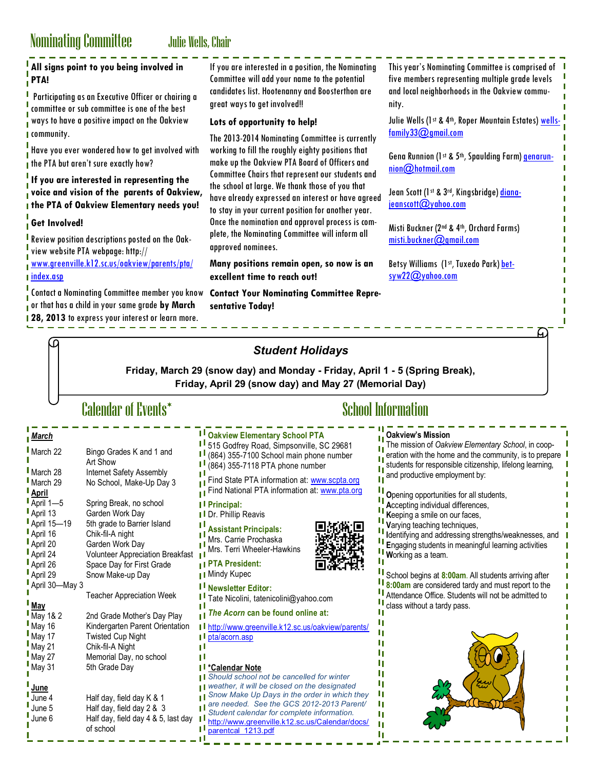# Nominating Committee Julie Wells, Chair

**I** May 27 Memorial Day, no school<br>May 31 5th Grade Day 5th Grade Day

**June 4** Half day, field day K & 1<br>June 5 Half day, field day 2 & 3 **June 5** Half day, field day 2 & 3<br>June 6 Half day, field day 4 & 5,

of school

Half day, field day 4 & 5, last day  $\blacksquare$ 

**\*Calendar Note**

ηI

Il [parentcal\\_1213.pdf](http://www.greenville.k12.sc.us/Calendar/docs/parentcal_1213.pdf)

**June**

|                                                                                                                                                                                                                                     | <b>NOTIFIERALLES CONTINUES</b><br><b>JUNE WEILS, UNAIL</b>                                                                                       |                                                                                                                                                                                                                                                                                                                      |                                                                                                                                                                          |
|-------------------------------------------------------------------------------------------------------------------------------------------------------------------------------------------------------------------------------------|--------------------------------------------------------------------------------------------------------------------------------------------------|----------------------------------------------------------------------------------------------------------------------------------------------------------------------------------------------------------------------------------------------------------------------------------------------------------------------|--------------------------------------------------------------------------------------------------------------------------------------------------------------------------|
| PTA!                                                                                                                                                                                                                                | All signs point to you being involved in<br>Participating as an Executive Officer or chairing a<br>committee or sub committee is one of the best | If you are interested in a position, the Nominating<br>Committee will add your name to the potential<br>candidates list. Hootenanny and Boosterthon are<br>great ways to get involved!!                                                                                                                              | This year's Nominating Committee is comprised of<br>five members representing multiple grade levels<br>and local neighborhoods in the Oakview commu-<br>nity.            |
| <b>I</b> community.                                                                                                                                                                                                                 | ways to have a positive impact on the Oakview                                                                                                    | Lots of opportunity to help!<br>The 2013-2014 Nominating Committee is currently                                                                                                                                                                                                                                      | Julie Wells (1st & 4th, Roper Mountain Estates) wells-<br>$f$ amily33 $Q$ gmail.com                                                                                      |
| Have you ever wondered how to get involved with<br>I the PTA but aren't sure exactly how?<br>If you are interested in representing the<br>voice and vision of the parents of Oakview,<br>I the PTA of Oakview Elementary needs you! |                                                                                                                                                  | working to fill the roughly eighty positions that<br>make up the Oakview PTA Board of Officers and<br>Committee Chairs that represent our students and<br>the school at large. We thank those of you that<br>have already expressed an interest or have agreed<br>to stay in your current position for another year. | Gena Runnion (1st & 5th, Spaulding Farm) genarun-                                                                                                                        |
|                                                                                                                                                                                                                                     |                                                                                                                                                  |                                                                                                                                                                                                                                                                                                                      | $nion@$ hotmail.com<br>Jean Scott (1st & 3rd, Kingsbridge) diana-                                                                                                        |
|                                                                                                                                                                                                                                     |                                                                                                                                                  |                                                                                                                                                                                                                                                                                                                      | jeanscott@yahoo.com                                                                                                                                                      |
| <b>Get Involved!</b>                                                                                                                                                                                                                |                                                                                                                                                  | Once the nomination and approval process is com-<br>plete, the Nominating Committee will inform all                                                                                                                                                                                                                  | Misti Buckner (2nd & 4th, Orchard Farms)                                                                                                                                 |
|                                                                                                                                                                                                                                     | Review position descriptions posted on the Oak-<br>view website PTA webpage: http://                                                             | approved nominees.                                                                                                                                                                                                                                                                                                   | $mist.$ buckner $O$ gmail.com                                                                                                                                            |
| I index.asp                                                                                                                                                                                                                         | www.greenville.kl2.sc.us/oakview/parents/pta/                                                                                                    | Many positions remain open, so now is an<br>excellent time to reach out!                                                                                                                                                                                                                                             | Betsy Williams (1st, Tuxedo Park) bet-<br>syw22@yahoo.com                                                                                                                |
|                                                                                                                                                                                                                                     | or that has a child in your same grade by March<br>1 28, 2013 to express your interest or learn more.                                            | sentative Today!<br><b>Student Holidays</b>                                                                                                                                                                                                                                                                          |                                                                                                                                                                          |
|                                                                                                                                                                                                                                     | <b>Calendar of Events*</b>                                                                                                                       | Friday, March 29 (snow day) and Monday - Friday, April 1 - 5 (Spring Break),<br>Friday, April 29 (snow day) and May 27 (Memorial Day)                                                                                                                                                                                | <b>School Information</b>                                                                                                                                                |
|                                                                                                                                                                                                                                     |                                                                                                                                                  |                                                                                                                                                                                                                                                                                                                      |                                                                                                                                                                          |
| March                                                                                                                                                                                                                               |                                                                                                                                                  | I Oakview Elementary School PTA                                                                                                                                                                                                                                                                                      | <b>Oakview's Mission</b>                                                                                                                                                 |
| March 22                                                                                                                                                                                                                            | Bingo Grades K and 1 and<br>Art Show                                                                                                             | I 515 Godfrey Road, Simpsonville, SC 29681<br>(864) 355-7100 School main phone number<br>(864) 355-7118 PTA phone number                                                                                                                                                                                             | The mission of Oakview Elementary School, in coop-<br>eration with the home and the community, is to prepare<br>students for responsible citizenship, lifelong learning, |
| March 28<br>March 29<br><b>April</b>                                                                                                                                                                                                | Internet Safety Assembly<br>No School, Make-Up Day 3                                                                                             | Find State PTA information at: www.scpta.org<br>Find National PTA information at: www.pta.org                                                                                                                                                                                                                        | and productive employment by:<br>Opening opportunities for all students,                                                                                                 |
| April $1 - 5$<br>April 13                                                                                                                                                                                                           | Spring Break, no school<br>Garden Work Day                                                                                                       | I <sup>I</sup> Principal:                                                                                                                                                                                                                                                                                            | Accepting individual differences,                                                                                                                                        |
| April 15-19                                                                                                                                                                                                                         | 5th grade to Barrier Island                                                                                                                      | I Dr. Phillip Reavis<br>Ш                                                                                                                                                                                                                                                                                            | Keeping a smile on our faces,<br>Varying teaching techniques,                                                                                                            |
| April 16                                                                                                                                                                                                                            | Chik-fil-A night                                                                                                                                 | <b>Assistant Principals:</b><br>Mrs. Carrie Prochaska                                                                                                                                                                                                                                                                | Identifying and addressing strengths/weaknesses, and                                                                                                                     |
| April 20<br>April 24                                                                                                                                                                                                                | Garden Work Day<br><b>Volunteer Appreciation Breakfast</b>                                                                                       | Mrs. Terri Wheeler-Hawkins                                                                                                                                                                                                                                                                                           | Engaging students in meaningful learning activities                                                                                                                      |
| April 26                                                                                                                                                                                                                            | Space Day for First Grade                                                                                                                        | Il PTA President:                                                                                                                                                                                                                                                                                                    | Working as a team.                                                                                                                                                       |
| April 29                                                                                                                                                                                                                            | Snow Make-up Day                                                                                                                                 | <sub>∎</sub> Mindy Kupec                                                                                                                                                                                                                                                                                             | School begins at 8:00am. All students arriving after                                                                                                                     |
| April 30-May 3                                                                                                                                                                                                                      |                                                                                                                                                  | I <sup>I</sup> Newsletter Editor:                                                                                                                                                                                                                                                                                    | 8:00am are considered tardy and must report to the                                                                                                                       |
| May                                                                                                                                                                                                                                 | <b>Teacher Appreciation Week</b>                                                                                                                 | Ш<br>Tate Nicolini, tatenicolini@yahoo.com                                                                                                                                                                                                                                                                           | Attendance Office. Students will not be admitted to<br>class without a tardy pass.                                                                                       |
| May 1& 2                                                                                                                                                                                                                            | 2nd Grade Mother's Day Play                                                                                                                      | Ш<br>The Acorn can be found online at:                                                                                                                                                                                                                                                                               |                                                                                                                                                                          |
| May 16                                                                                                                                                                                                                              | Kindergarten Parent Orientation                                                                                                                  | I http://www.greenville.k12.sc.us/oakview/parents/                                                                                                                                                                                                                                                                   |                                                                                                                                                                          |
| May 17                                                                                                                                                                                                                              | <b>Twisted Cup Night</b>                                                                                                                         | $\blacksquare$ pta/acorn.asp<br>Ш                                                                                                                                                                                                                                                                                    |                                                                                                                                                                          |
| May 21                                                                                                                                                                                                                              | Chik-fil-A Night                                                                                                                                 | Ш                                                                                                                                                                                                                                                                                                                    |                                                                                                                                                                          |
| May 27                                                                                                                                                                                                                              | Memorial Day, no school                                                                                                                          | П                                                                                                                                                                                                                                                                                                                    |                                                                                                                                                                          |

I) I) I) *Should school not be cancelled for winter*  I) *weather, it will be closed on the designated*  I) *Snow Make Up Days in the order in which they*  I) *are needed. See the GCS 2012-2013 Parent/* I) *Student calendar for complete information.*  [http://www.greenville.k12.sc.us/Calendar/docs/](http://www.greenville.k12.sc.us/Calendar/docs/parentcal_1213.pdf) I) I)

п

п

п

п

п

п

п

п